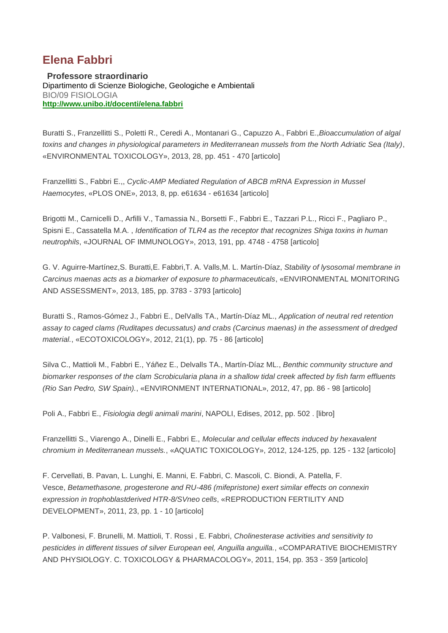## **Elena Fabbri**

**Professore straordinario** Dipartimento di Scienze Biologiche, Geologiche e Ambientali BIO/09 FISIOLOGIA **<http://www.unibo.it/docenti/elena.fabbri>**

Buratti S., Franzellitti S., Poletti R., Ceredi A., Montanari G., Capuzzo A., Fabbri E.,*Bioaccumulation of algal toxins and changes in physiological parameters in Mediterranean mussels from the North Adriatic Sea (Italy)*, «ENVIRONMENTAL TOXICOLOGY», 2013, 28, pp. 451 - 470 [articolo]

Franzellitti S., Fabbri E.,, *Cyclic-AMP Mediated Regulation of ABCB mRNA Expression in Mussel Haemocytes*, «PLOS ONE», 2013, 8, pp. e61634 - e61634 [articolo]

Brigotti M., Carnicelli D., Arfilli V., Tamassia N., Borsetti F., Fabbri E., Tazzari P.L., Ricci F., Pagliaro P., Spisni E., Cassatella M.A. , *Identification of TLR4 as the receptor that recognizes Shiga toxins in human neutrophils*, «JOURNAL OF IMMUNOLOGY», 2013, 191, pp. 4748 - 4758 [articolo]

G. V. Aguirre-Martínez,S. Buratti,E. Fabbri,T. A. Valls,M. L. Martín-Díaz, *Stability of lysosomal membrane in Carcinus maenas acts as a biomarker of exposure to pharmaceuticals*, «ENVIRONMENTAL MONITORING AND ASSESSMENT», 2013, 185, pp. 3783 - 3793 [articolo]

Buratti S., Ramos-Gómez J., Fabbri E., DelValls TA., Martín-Díaz ML., *Application of neutral red retention assay to caged clams (Ruditapes decussatus) and crabs (Carcinus maenas) in the assessment of dredged material.*, «ECOTOXICOLOGY», 2012, 21(1), pp. 75 - 86 [articolo]

Silva C., Mattioli M., Fabbri E., Yáñez E., Delvalls TA., Martín-Díaz ML., *Benthic community structure and biomarker responses of the clam Scrobicularia plana in a shallow tidal creek affected by fish farm effluents (Rio San Pedro, SW Spain).*, «ENVIRONMENT INTERNATIONAL», 2012, 47, pp. 86 - 98 [articolo]

Poli A., Fabbri E., *Fisiologia degli animali marini*, NAPOLI, Edises, 2012, pp. 502 . [libro]

Franzellitti S., Viarengo A., Dinelli E., Fabbri E., *Molecular and cellular effects induced by hexavalent chromium in Mediterranean mussels.*, «AQUATIC TOXICOLOGY», 2012, 124-125, pp. 125 - 132 [articolo]

F. Cervellati, B. Pavan, L. Lunghi, E. Manni, E. Fabbri, C. Mascoli, C. Biondi, A. Patella, F. Vesce, *Betamethasone, progesterone and RU-486 (mifepristone) exert similar effects on connexin expression in trophoblastderived HTR-8/SVneo cells*, «REPRODUCTION FERTILITY AND DEVELOPMENT», 2011, 23, pp. 1 - 10 [articolo]

P. Valbonesi, F. Brunelli, M. Mattioli, T. Rossi , E. Fabbri, *Cholinesterase activities and sensitivity to pesticides in different tissues of silver European eel, Anguilla anguilla.*, «COMPARATIVE BIOCHEMISTRY AND PHYSIOLOGY. C. TOXICOLOGY & PHARMACOLOGY», 2011, 154, pp. 353 - 359 [articolo]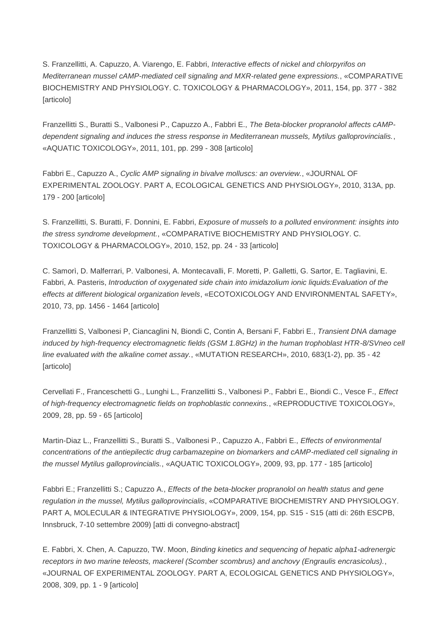S. Franzellitti, A. Capuzzo, A. Viarengo, E. Fabbri, *Interactive effects of nickel and chlorpyrifos on Mediterranean mussel cAMP-mediated cell signaling and MXR-related gene expressions.*, «COMPARATIVE BIOCHEMISTRY AND PHYSIOLOGY. C. TOXICOLOGY & PHARMACOLOGY», 2011, 154, pp. 377 - 382 [articolo]

Franzellitti S., Buratti S., Valbonesi P., Capuzzo A., Fabbri E., *The Beta-blocker propranolol affects cAMPdependent signaling and induces the stress response in Mediterranean mussels, Mytilus galloprovincialis.*, «AQUATIC TOXICOLOGY», 2011, 101, pp. 299 - 308 [articolo]

Fabbri E., Capuzzo A., *Cyclic AMP signaling in bivalve molluscs: an overview.*, «JOURNAL OF EXPERIMENTAL ZOOLOGY. PART A, ECOLOGICAL GENETICS AND PHYSIOLOGY», 2010, 313A, pp. 179 - 200 [articolo]

S. Franzellitti, S. Buratti, F. Donnini, E. Fabbri, *Exposure of mussels to a polluted environment: insights into the stress syndrome development.*, «COMPARATIVE BIOCHEMISTRY AND PHYSIOLOGY. C. TOXICOLOGY & PHARMACOLOGY», 2010, 152, pp. 24 - 33 [articolo]

C. Samorì, D. Malferrari, P. Valbonesi, A. Montecavalli, F. Moretti, P. Galletti, G. Sartor, E. Tagliavini, E. Fabbri, A. Pasteris, *Introduction of oxygenated side chain into imidazolium ionic liquids:Evaluation of the effects at different biological organization levels*, «ECOTOXICOLOGY AND ENVIRONMENTAL SAFETY», 2010, 73, pp. 1456 - 1464 [articolo]

Franzellitti S, Valbonesi P, Ciancaglini N, Biondi C, Contin A, Bersani F, Fabbri E., *Transient DNA damage induced by high-frequency electromagnetic fields (GSM 1.8GHz) in the human trophoblast HTR-8/SVneo cell line evaluated with the alkaline comet assay.*, «MUTATION RESEARCH», 2010, 683(1-2), pp. 35 - 42 [articolo]

Cervellati F., Franceschetti G., Lunghi L., Franzellitti S., Valbonesi P., Fabbri E., Biondi C., Vesce F., *Effect of high-frequency electromagnetic fields on trophoblastic connexins.*, «REPRODUCTIVE TOXICOLOGY», 2009, 28, pp. 59 - 65 [articolo]

Martin-Diaz L., Franzellitti S., Buratti S., Valbonesi P., Capuzzo A., Fabbri E., *Effects of environmental concentrations of the antiepilectic drug carbamazepine on biomarkers and cAMP-mediated cell signaling in the mussel Mytilus galloprovincialis.*, «AQUATIC TOXICOLOGY», 2009, 93, pp. 177 - 185 [articolo]

Fabbri E.; Franzellitti S.; Capuzzo A., *Effects of the beta-blocker propranolol on health status and gene regulation in the mussel, Mytilus galloprovincialis*, «COMPARATIVE BIOCHEMISTRY AND PHYSIOLOGY. PART A, MOLECULAR & INTEGRATIVE PHYSIOLOGY», 2009, 154, pp. S15 - S15 (atti di: 26th ESCPB, Innsbruck, 7-10 settembre 2009) [atti di convegno-abstract]

E. Fabbri, X. Chen, A. Capuzzo, TW. Moon, *Binding kinetics and sequencing of hepatic alpha1-adrenergic receptors in two marine teleosts, mackerel (Scomber scombrus) and anchovy (Engraulis encrasicolus).*, «JOURNAL OF EXPERIMENTAL ZOOLOGY. PART A, ECOLOGICAL GENETICS AND PHYSIOLOGY», 2008, 309, pp. 1 - 9 [articolo]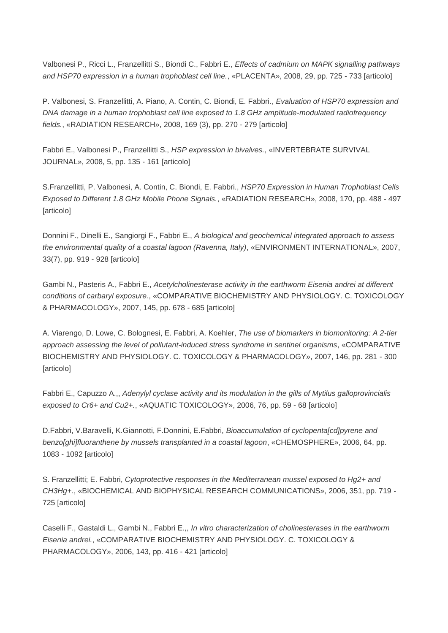Valbonesi P., Ricci L., Franzellitti S., Biondi C., Fabbri E., *Effects of cadmium on MAPK signalling pathways and HSP70 expression in a human trophoblast cell line.*, «PLACENTA», 2008, 29, pp. 725 - 733 [articolo]

P. Valbonesi, S. Franzellitti, A. Piano, A. Contin, C. Biondi, E. Fabbri., *Evaluation of HSP70 expression and DNA damage in a human trophoblast cell line exposed to 1.8 GHz amplitude-modulated radiofrequency fields.*, «RADIATION RESEARCH», 2008, 169 (3), pp. 270 - 279 [articolo]

Fabbri E., Valbonesi P., Franzellitti S., *HSP expression in bivalves.*, «INVERTEBRATE SURVIVAL JOURNAL», 2008, 5, pp. 135 - 161 [articolo]

S.Franzellitti, P. Valbonesi, A. Contin, C. Biondi, E. Fabbri., *HSP70 Expression in Human Trophoblast Cells Exposed to Different 1.8 GHz Mobile Phone Signals.*, «RADIATION RESEARCH», 2008, 170, pp. 488 - 497 [articolo]

Donnini F., Dinelli E., Sangiorgi F., Fabbri E., *A biological and geochemical integrated approach to assess the environmental quality of a coastal lagoon (Ravenna, Italy)*, «ENVIRONMENT INTERNATIONAL», 2007, 33(7), pp. 919 - 928 [articolo]

Gambi N., Pasteris A., Fabbri E., *Acetylcholinesterase activity in the earthworm Eisenia andrei at different conditions of carbaryl exposure.*, «COMPARATIVE BIOCHEMISTRY AND PHYSIOLOGY. C. TOXICOLOGY & PHARMACOLOGY», 2007, 145, pp. 678 - 685 [articolo]

A. Viarengo, D. Lowe, C. Bolognesi, E. Fabbri, A. Koehler, *The use of biomarkers in biomonitoring: A 2-tier approach assessing the level of pollutant-induced stress syndrome in sentinel organisms*, «COMPARATIVE BIOCHEMISTRY AND PHYSIOLOGY. C. TOXICOLOGY & PHARMACOLOGY», 2007, 146, pp. 281 - 300 **[articolo]** 

Fabbri E., Capuzzo A.,, *Adenylyl cyclase activity and its modulation in the gills of Mytilus galloprovincialis exposed to Cr6+ and Cu2+.*, «AQUATIC TOXICOLOGY», 2006, 76, pp. 59 - 68 [articolo]

D.Fabbri, V.Baravelli, K.Giannotti, F.Donnini, E.Fabbri, *Bioaccumulation of cyclopenta[cd]pyrene and benzo[ghi]fluoranthene by mussels transplanted in a coastal lagoon*, «CHEMOSPHERE», 2006, 64, pp. 1083 - 1092 [articolo]

S. Franzellitti; E. Fabbri, *Cytoprotective responses in the Mediterranean mussel exposed to Hg2+ and CH3Hg+.*, «BIOCHEMICAL AND BIOPHYSICAL RESEARCH COMMUNICATIONS», 2006, 351, pp. 719 - 725 [articolo]

Caselli F., Gastaldi L., Gambi N., Fabbri E.,, *In vitro characterization of cholinesterases in the earthworm Eisenia andrei.*, «COMPARATIVE BIOCHEMISTRY AND PHYSIOLOGY. C. TOXICOLOGY & PHARMACOLOGY», 2006, 143, pp. 416 - 421 [articolo]